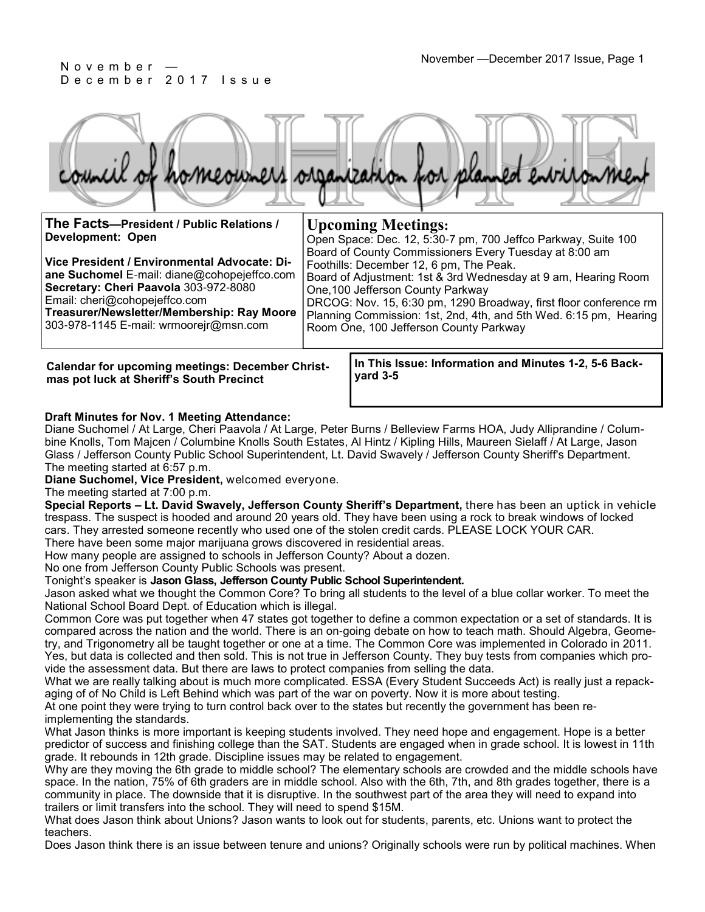

| The Facts-President / Public Relations /     | <b>Upcoming Meetings:</b>                                         |
|----------------------------------------------|-------------------------------------------------------------------|
| <b>Development: Open</b>                     | Open Space: Dec. 12, 5:30-7 pm, 700 Jeffco Parkway, Suite 100     |
|                                              | Board of County Commissioners Every Tuesday at 8:00 am            |
| Vice President / Environmental Advocate: Di- | Foothills: December 12, 6 pm, The Peak.                           |
| ane Suchomel E-mail: diane@cohopejeffco.com  | Board of Adjustment: 1st & 3rd Wednesday at 9 am, Hearing Room    |
| Secretary: Cheri Paavola 303-972-8080        | One, 100 Jefferson County Parkway                                 |
| Email: cheri@cohopejeffco.com                | DRCOG: Nov. 15, 6:30 pm, 1290 Broadway, first floor conference rm |

**Treasurer/Newsletter/Membership: Ray Moore**  303-978-1145 E-mail: wrmoorejr@msn.com Planning Commission: 1st, 2nd, 4th, and 5th Wed. 6:15 pm, Hearing Room One, 100 Jefferson County Parkway

**Calendar for upcoming meetings: December Christmas pot luck at Sheriff's South Precinct**

**In This Issue: Information and Minutes 1-2, 5-6 Backyard 3-5** 

### **Draft Minutes for Nov. 1 Meeting Attendance:**

Diane Suchomel / At Large, Cheri Paavola / At Large, Peter Burns / Belleview Farms HOA, Judy Alliprandine / Columbine Knolls, Tom Majcen / Columbine Knolls South Estates, Al Hintz / Kipling Hills, Maureen Sielaff / At Large, Jason Glass / Jefferson County Public School Superintendent, Lt. David Swavely / Jefferson County Sheriff's Department. The meeting started at 6:57 p.m.

**Diane Suchomel, Vice President,** welcomed everyone.

The meeting started at 7:00 p.m.

**Special Reports – Lt. David Swavely, Jefferson County Sheriff's Department,** there has been an uptick in vehicle trespass. The suspect is hooded and around 20 years old. They have been using a rock to break windows of locked cars. They arrested someone recently who used one of the stolen credit cards. PLEASE LOCK YOUR CAR. There have been some major marijuana grows discovered in residential areas.

How many people are assigned to schools in Jefferson County? About a dozen.

No one from Jefferson County Public Schools was present.

Tonight's speaker is **Jason Glass, Jefferson County Public School Superintendent.**

Jason asked what we thought the Common Core? To bring all students to the level of a blue collar worker. To meet the National School Board Dept. of Education which is illegal.

Common Core was put together when 47 states got together to define a common expectation or a set of standards. It is compared across the nation and the world. There is an on-going debate on how to teach math. Should Algebra, Geometry, and Trigonometry all be taught together or one at a time. The Common Core was implemented in Colorado in 2011. Yes, but data is collected and then sold. This is not true in Jefferson County. They buy tests from companies which provide the assessment data. But there are laws to protect companies from selling the data.

What we are really talking about is much more complicated. ESSA (Every Student Succeeds Act) is really just a repackaging of of No Child is Left Behind which was part of the war on poverty. Now it is more about testing.

At one point they were trying to turn control back over to the states but recently the government has been reimplementing the standards.

What Jason thinks is more important is keeping students involved. They need hope and engagement. Hope is a better predictor of success and finishing college than the SAT. Students are engaged when in grade school. It is lowest in 11th grade. It rebounds in 12th grade. Discipline issues may be related to engagement.

Why are they moving the 6th grade to middle school? The elementary schools are crowded and the middle schools have space. In the nation, 75% of 6th graders are in middle school. Also with the 6th, 7th, and 8th grades together, there is a community in place. The downside that it is disruptive. In the southwest part of the area they will need to expand into trailers or limit transfers into the school. They will need to spend \$15M.

What does Jason think about Unions? Jason wants to look out for students, parents, etc. Unions want to protect the teachers.

Does Jason think there is an issue between tenure and unions? Originally schools were run by political machines. When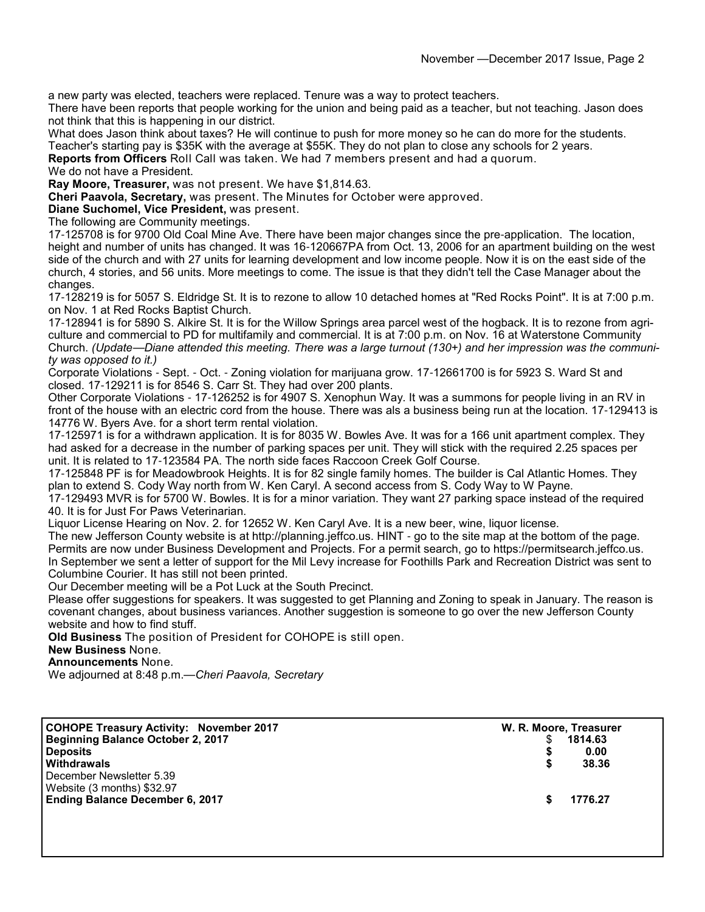a new party was elected, teachers were replaced. Tenure was a way to protect teachers.

There have been reports that people working for the union and being paid as a teacher, but not teaching. Jason does not think that this is happening in our district.

What does Jason think about taxes? He will continue to push for more money so he can do more for the students. Teacher's starting pay is \$35K with the average at \$55K. They do not plan to close any schools for 2 years.

**Reports from Officers** Roll Call was taken. We had 7 members present and had a quorum.

#### We do not have a President.

**Ray Moore, Treasurer,** was not present. We have \$1,814.63.

**Cheri Paavola, Secretary,** was present. The Minutes for October were approved.

**Diane Suchomel, Vice President,** was present.

The following are Community meetings.

17-125708 is for 9700 Old Coal Mine Ave. There have been major changes since the pre-application. The location, height and number of units has changed. It was 16-120667PA from Oct. 13, 2006 for an apartment building on the west side of the church and with 27 units for learning development and low income people. Now it is on the east side of the church, 4 stories, and 56 units. More meetings to come. The issue is that they didn't tell the Case Manager about the changes.

17-128219 is for 5057 S. Eldridge St. It is to rezone to allow 10 detached homes at "Red Rocks Point". It is at 7:00 p.m. on Nov. 1 at Red Rocks Baptist Church.

17-128941 is for 5890 S. Alkire St. It is for the Willow Springs area parcel west of the hogback. It is to rezone from agriculture and commercial to PD for multifamily and commercial. It is at 7:00 p.m. on Nov. 16 at Waterstone Community Church. *(Update*—*Diane attended this meeting. There was a large turnout (130+) and her impression was the community was opposed to it.)*

Corporate Violations - Sept. - Oct. - Zoning violation for marijuana grow. 17-12661700 is for 5923 S. Ward St and closed. 17-129211 is for 8546 S. Carr St. They had over 200 plants.

Other Corporate Violations - 17-126252 is for 4907 S. Xenophun Way. It was a summons for people living in an RV in front of the house with an electric cord from the house. There was als a business being run at the location. 17-129413 is 14776 W. Byers Ave. for a short term rental violation.

17-125971 is for a withdrawn application. It is for 8035 W. Bowles Ave. It was for a 166 unit apartment complex. They had asked for a decrease in the number of parking spaces per unit. They will stick with the required 2.25 spaces per unit. It is related to 17-123584 PA. The north side faces Raccoon Creek Golf Course.

17-125848 PF is for Meadowbrook Heights. It is for 82 single family homes. The builder is Cal Atlantic Homes. They plan to extend S. Cody Way north from W. Ken Caryl. A second access from S. Cody Way to W Payne.

17-129493 MVR is for 5700 W. Bowles. It is for a minor variation. They want 27 parking space instead of the required 40. It is for Just For Paws Veterinarian.

Liquor License Hearing on Nov. 2. for 12652 W. Ken Caryl Ave. It is a new beer, wine, liquor license.

The new Jefferson County website is at http://planning.jeffco.us. HINT - go to the site map at the bottom of the page. Permits are now under Business Development and Projects. For a permit search, go to https://permitsearch.jeffco.us. In September we sent a letter of support for the Mil Levy increase for Foothills Park and Recreation District was sent to Columbine Courier. It has still not been printed.

Our December meeting will be a Pot Luck at the South Precinct.

Please offer suggestions for speakers. It was suggested to get Planning and Zoning to speak in January. The reason is covenant changes, about business variances. Another suggestion is someone to go over the new Jefferson County website and how to find stuff.

**Old Business** The position of President for COHOPE is still open.

**New Business** None.

**Announcements** None.

We adjourned at 8:48 p.m.—*Cheri Paavola, Secretary*

| <b>COHOPE Treasury Activity: November 2017</b> | W. R. Moore, Treasurer |         |
|------------------------------------------------|------------------------|---------|
| <b>Beginning Balance October 2, 2017</b>       |                        | 1814.63 |
| <b>Deposits</b>                                |                        | 0.00    |
| Withdrawals                                    |                        | 38.36   |
| December Newsletter 5.39                       |                        |         |
| Website (3 months) \$32.97                     |                        |         |
| <b>Ending Balance December 6, 2017</b>         |                        | 1776.27 |
|                                                |                        |         |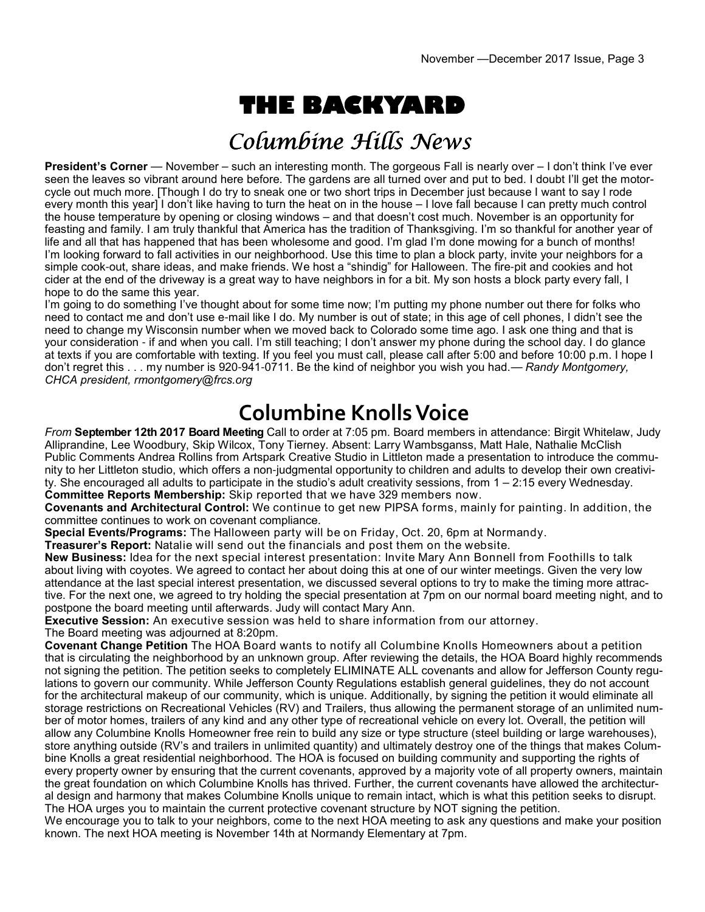# **THE BACKYARD**

## Columbine Hills News

**President's Corner** — November – such an interesting month. The gorgeous Fall is nearly over – I don't think I've ever seen the leaves so vibrant around here before. The gardens are all turned over and put to bed. I doubt I'll get the motorcycle out much more. [Though I do try to sneak one or two short trips in December just because I want to say I rode every month this year] I don't like having to turn the heat on in the house – I love fall because I can pretty much control the house temperature by opening or closing windows – and that doesn't cost much. November is an opportunity for feasting and family. I am truly thankful that America has the tradition of Thanksgiving. I'm so thankful for another year of life and all that has happened that has been wholesome and good. I'm glad I'm done mowing for a bunch of months! I'm looking forward to fall activities in our neighborhood. Use this time to plan a block party, invite your neighbors for a simple cook-out, share ideas, and make friends. We host a "shindig" for Halloween. The fire-pit and cookies and hot cider at the end of the driveway is a great way to have neighbors in for a bit. My son hosts a block party every fall, I hope to do the same this year.

I'm going to do something I've thought about for some time now; I'm putting my phone number out there for folks who need to contact me and don't use e-mail like I do. My number is out of state; in this age of cell phones, I didn't see the need to change my Wisconsin number when we moved back to Colorado some time ago. I ask one thing and that is your consideration - if and when you call. I'm still teaching; I don't answer my phone during the school day. I do glance at texts if you are comfortable with texting. If you feel you must call, please call after 5:00 and before 10:00 p.m. I hope I don't regret this . . . my number is 920-941-0711. Be the kind of neighbor you wish you had.— *Randy Montgomery, CHCA president, rmontgomery@frcs.org*

## **Columbine Knolls Voice**

*From* **September 12th 2017 Board Meeting** Call to order at 7:05 pm. Board members in attendance: Birgit Whitelaw, Judy Alliprandine, Lee Woodbury, Skip Wilcox, Tony Tierney. Absent: Larry Wambsganss, Matt Hale, Nathalie McClish Public Comments Andrea Rollins from Artspark Creative Studio in Littleton made a presentation to introduce the community to her Littleton studio, which offers a non-judgmental opportunity to children and adults to develop their own creativity. She encouraged all adults to participate in the studio's adult creativity sessions, from 1 – 2:15 every Wednesday. **Committee Reports Membership:** Skip reported that we have 329 members now.

**Covenants and Architectural Control:** We continue to get new PIPSA forms, mainly for painting. In addition, the committee continues to work on covenant compliance.

**Special Events/Programs:** The Halloween party will be on Friday, Oct. 20, 6pm at Normandy.

**Treasurer's Report:** Natalie will send out the financials and post them on the website.

**New Business:** Idea for the next special interest presentation: Invite Mary Ann Bonnell from Foothills to talk about living with coyotes. We agreed to contact her about doing this at one of our winter meetings. Given the very low attendance at the last special interest presentation, we discussed several options to try to make the timing more attractive. For the next one, we agreed to try holding the special presentation at 7pm on our normal board meeting night, and to postpone the board meeting until afterwards. Judy will contact Mary Ann.

**Executive Session:** An executive session was held to share information from our attorney.

The Board meeting was adjourned at 8:20pm.

**Covenant Change Petition** The HOA Board wants to notify all Columbine Knolls Homeowners about a petition that is circulating the neighborhood by an unknown group. After reviewing the details, the HOA Board highly recommends not signing the petition. The petition seeks to completely ELIMINATE ALL covenants and allow for Jefferson County regulations to govern our community. While Jefferson County Regulations establish general guidelines, they do not account for the architectural makeup of our community, which is unique. Additionally, by signing the petition it would eliminate all storage restrictions on Recreational Vehicles (RV) and Trailers, thus allowing the permanent storage of an unlimited number of motor homes, trailers of any kind and any other type of recreational vehicle on every lot. Overall, the petition will allow any Columbine Knolls Homeowner free rein to build any size or type structure (steel building or large warehouses), store anything outside (RV's and trailers in unlimited quantity) and ultimately destroy one of the things that makes Columbine Knolls a great residential neighborhood. The HOA is focused on building community and supporting the rights of every property owner by ensuring that the current covenants, approved by a majority vote of all property owners, maintain the great foundation on which Columbine Knolls has thrived. Further, the current covenants have allowed the architectural design and harmony that makes Columbine Knolls unique to remain intact, which is what this petition seeks to disrupt. The HOA urges you to maintain the current protective covenant structure by NOT signing the petition.

We encourage you to talk to your neighbors, come to the next HOA meeting to ask any questions and make your position known. The next HOA meeting is November 14th at Normandy Elementary at 7pm.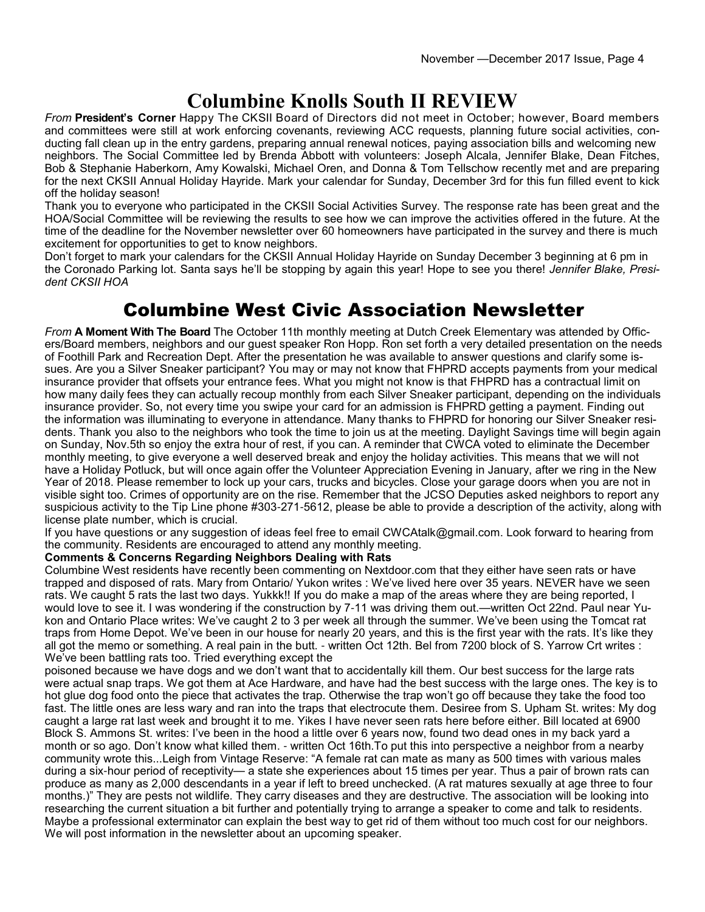## **Columbine Knolls South II REVIEW**

*From* **President's Corner** Happy The CKSII Board of Directors did not meet in October; however, Board members and committees were still at work enforcing covenants, reviewing ACC requests, planning future social activities, conducting fall clean up in the entry gardens, preparing annual renewal notices, paying association bills and welcoming new neighbors. The Social Committee led by Brenda Abbott with volunteers: Joseph Alcala, Jennifer Blake, Dean Fitches, Bob & Stephanie Haberkorn, Amy Kowalski, Michael Oren, and Donna & Tom Tellschow recently met and are preparing for the next CKSII Annual Holiday Hayride. Mark your calendar for Sunday, December 3rd for this fun filled event to kick off the holiday season!

Thank you to everyone who participated in the CKSII Social Activities Survey. The response rate has been great and the HOA/Social Committee will be reviewing the results to see how we can improve the activities offered in the future. At the time of the deadline for the November newsletter over 60 homeowners have participated in the survey and there is much excitement for opportunities to get to know neighbors.

Don't forget to mark your calendars for the CKSII Annual Holiday Hayride on Sunday December 3 beginning at 6 pm in the Coronado Parking lot. Santa says he'll be stopping by again this year! Hope to see you there! *Jennifer Blake, President CKSII HOA*

### Columbine West Civic Association Newsletter

*From* **A Moment With The Board** The October 11th monthly meeting at Dutch Creek Elementary was attended by Officers/Board members, neighbors and our guest speaker Ron Hopp. Ron set forth a very detailed presentation on the needs of Foothill Park and Recreation Dept. After the presentation he was available to answer questions and clarify some issues. Are you a Silver Sneaker participant? You may or may not know that FHPRD accepts payments from your medical insurance provider that offsets your entrance fees. What you might not know is that FHPRD has a contractual limit on how many daily fees they can actually recoup monthly from each Silver Sneaker participant, depending on the individuals insurance provider. So, not every time you swipe your card for an admission is FHPRD getting a payment. Finding out the information was illuminating to everyone in attendance. Many thanks to FHPRD for honoring our Silver Sneaker residents. Thank you also to the neighbors who took the time to join us at the meeting. Daylight Savings time will begin again on Sunday, Nov.5th so enjoy the extra hour of rest, if you can. A reminder that CWCA voted to eliminate the December monthly meeting, to give everyone a well deserved break and enjoy the holiday activities. This means that we will not have a Holiday Potluck, but will once again offer the Volunteer Appreciation Evening in January, after we ring in the New Year of 2018. Please remember to lock up your cars, trucks and bicycles. Close your garage doors when you are not in visible sight too. Crimes of opportunity are on the rise. Remember that the JCSO Deputies asked neighbors to report any suspicious activity to the Tip Line phone #303-271-5612, please be able to provide a description of the activity, along with license plate number, which is crucial.

If you have questions or any suggestion of ideas feel free to email CWCAtalk@gmail.com. Look forward to hearing from the community. Residents are encouraged to attend any monthly meeting.

### **Comments & Concerns Regarding Neighbors Dealing with Rats**

Columbine West residents have recently been commenting on Nextdoor.com that they either have seen rats or have trapped and disposed of rats. Mary from Ontario/ Yukon writes : We've lived here over 35 years. NEVER have we seen rats. We caught 5 rats the last two days. Yukkk!! If you do make a map of the areas where they are being reported, I would love to see it. I was wondering if the construction by 7-11 was driving them out.—written Oct 22nd. Paul near Yukon and Ontario Place writes: We've caught 2 to 3 per week all through the summer. We've been using the Tomcat rat traps from Home Depot. We've been in our house for nearly 20 years, and this is the first year with the rats. It's like they all got the memo or something. A real pain in the butt. - written Oct 12th. Bel from 7200 block of S. Yarrow Crt writes : We've been battling rats too. Tried everything except the

poisoned because we have dogs and we don't want that to accidentally kill them. Our best success for the large rats were actual snap traps. We got them at Ace Hardware, and have had the best success with the large ones. The key is to hot glue dog food onto the piece that activates the trap. Otherwise the trap won't go off because they take the food too fast. The little ones are less wary and ran into the traps that electrocute them. Desiree from S. Upham St. writes: My dog caught a large rat last week and brought it to me. Yikes I have never seen rats here before either. Bill located at 6900 Block S. Ammons St. writes: I've been in the hood a little over 6 years now, found two dead ones in my back yard a month or so ago. Don't know what killed them. - written Oct 16th.To put this into perspective a neighbor from a nearby community wrote this...Leigh from Vintage Reserve: "A female rat can mate as many as 500 times with various males during a six-hour period of receptivity— a state she experiences about 15 times per year. Thus a pair of brown rats can produce as many as 2,000 descendants in a year if left to breed unchecked. (A rat matures sexually at age three to four months.)" They are pests not wildlife. They carry diseases and they are destructive. The association will be looking into researching the current situation a bit further and potentially trying to arrange a speaker to come and talk to residents. Maybe a professional exterminator can explain the best way to get rid of them without too much cost for our neighbors. We will post information in the newsletter about an upcoming speaker.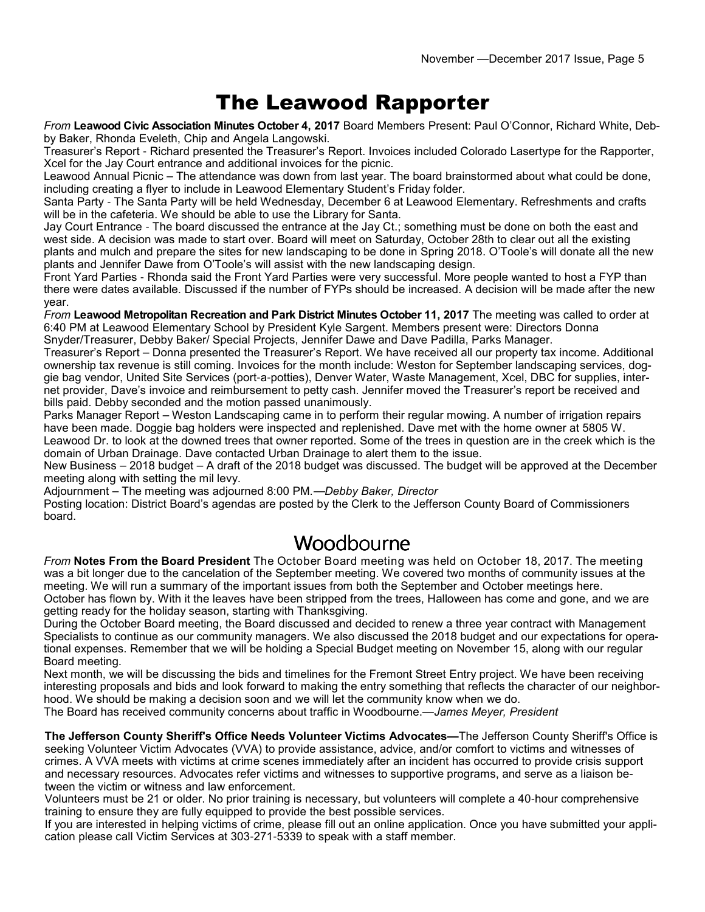## The Leawood Rapporter

*From* **Leawood Civic Association Minutes October 4, 2017** Board Members Present: Paul O'Connor, Richard White, Debby Baker, Rhonda Eveleth, Chip and Angela Langowski.

Treasurer's Report - Richard presented the Treasurer's Report. Invoices included Colorado Lasertype for the Rapporter, Xcel for the Jay Court entrance and additional invoices for the picnic.

Leawood Annual Picnic – The attendance was down from last year. The board brainstormed about what could be done, including creating a flyer to include in Leawood Elementary Student's Friday folder.

Santa Party - The Santa Party will be held Wednesday, December 6 at Leawood Elementary. Refreshments and crafts will be in the cafeteria. We should be able to use the Library for Santa.

Jay Court Entrance - The board discussed the entrance at the Jay Ct.; something must be done on both the east and west side. A decision was made to start over. Board will meet on Saturday, October 28th to clear out all the existing plants and mulch and prepare the sites for new landscaping to be done in Spring 2018. O'Toole's will donate all the new plants and Jennifer Dawe from O'Toole's will assist with the new landscaping design.

Front Yard Parties - Rhonda said the Front Yard Parties were very successful. More people wanted to host a FYP than there were dates available. Discussed if the number of FYPs should be increased. A decision will be made after the new year.

*From* **Leawood Metropolitan Recreation and Park District Minutes October 11, 2017** The meeting was called to order at 6:40 PM at Leawood Elementary School by President Kyle Sargent. Members present were: Directors Donna Snyder/Treasurer, Debby Baker/ Special Projects, Jennifer Dawe and Dave Padilla, Parks Manager.

Treasurer's Report – Donna presented the Treasurer's Report. We have received all our property tax income. Additional ownership tax revenue is still coming. Invoices for the month include: Weston for September landscaping services, doggie bag vendor, United Site Services (port-a-potties), Denver Water, Waste Management, Xcel, DBC for supplies, internet provider, Dave's invoice and reimbursement to petty cash. Jennifer moved the Treasurer's report be received and bills paid. Debby seconded and the motion passed unanimously.

Parks Manager Report – Weston Landscaping came in to perform their regular mowing. A number of irrigation repairs have been made. Doggie bag holders were inspected and replenished. Dave met with the home owner at 5805 W. Leawood Dr. to look at the downed trees that owner reported. Some of the trees in question are in the creek which is the domain of Urban Drainage. Dave contacted Urban Drainage to alert them to the issue.

New Business – 2018 budget – A draft of the 2018 budget was discussed. The budget will be approved at the December meeting along with setting the mil levy.

Adjournment – The meeting was adjourned 8:00 PM.—*Debby Baker, Director*

Posting location: District Board's agendas are posted by the Clerk to the Jefferson County Board of Commissioners board.

### Woodbourne

*From* **Notes From the Board President** The October Board meeting was held on October 18, 2017. The meeting was a bit longer due to the cancelation of the September meeting. We covered two months of community issues at the meeting. We will run a summary of the important issues from both the September and October meetings here. October has flown by. With it the leaves have been stripped from the trees, Halloween has come and gone, and we are getting ready for the holiday season, starting with Thanksgiving.

During the October Board meeting, the Board discussed and decided to renew a three year contract with Management Specialists to continue as our community managers. We also discussed the 2018 budget and our expectations for operational expenses. Remember that we will be holding a Special Budget meeting on November 15, along with our regular Board meeting.

Next month, we will be discussing the bids and timelines for the Fremont Street Entry project. We have been receiving interesting proposals and bids and look forward to making the entry something that reflects the character of our neighborhood. We should be making a decision soon and we will let the community know when we do.

The Board has received community concerns about traffic in Woodbourne.—*James Meyer, President*

**The Jefferson County Sheriff's Office Needs Volunteer Victims Advocates—**The Jefferson County Sheriff's Office is seeking Volunteer Victim Advocates (VVA) to provide assistance, advice, and/or comfort to victims and witnesses of crimes. A VVA meets with victims at crime scenes immediately after an incident has occurred to provide crisis support and necessary resources. Advocates refer victims and witnesses to supportive programs, and serve as a liaison between the victim or witness and law enforcement.

Volunteers must be 21 or older. No prior training is necessary, but volunteers will complete a 40-hour comprehensive training to ensure they are fully equipped to provide the best possible services.

If you are interested in helping victims of crime, please fill out an online application. Once you have submitted your application please call Victim Services at 303-271-5339 to speak with a staff member.